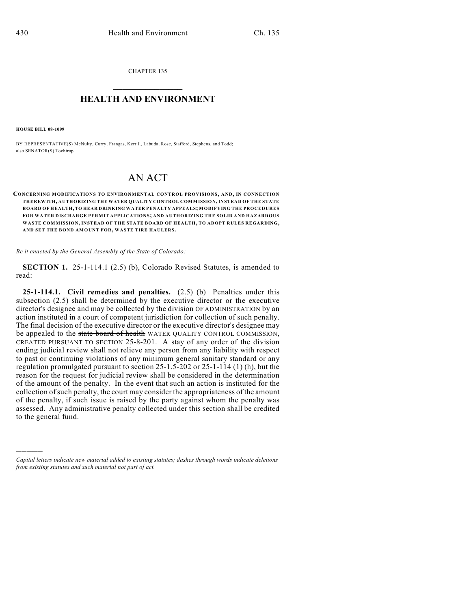CHAPTER 135

## $\overline{\phantom{a}}$  . The set of the set of the set of the set of the set of the set of the set of the set of the set of the set of the set of the set of the set of the set of the set of the set of the set of the set of the set o **HEALTH AND ENVIRONMENT**  $\_$

**HOUSE BILL 08-1099**

)))))

BY REPRESENTATIVE(S) McNulty, Curry, Frangas, Kerr J., Labuda, Rose, Stafford, Stephens, and Todd; also SENATOR(S) Tochtrop.

## AN ACT

**CONCERNING MODIFICATIONS TO ENVIRONMENTAL CONTROL PROVISIONS, AND, IN CONNECTION THEREWITH, AUTHORIZING THE WATER QUALITY CONTROL COMMISSION, INSTEAD OF THE STATE BOARD OF HEALTH, TO HEAR DRINKING WATER PENALTY APPEALS; MODIFYING THE PROCEDURES FOR WATER DISCHARGE PERMIT APPLICATIONS; AND AUTHORIZING THE SOLID AND HAZARDOUS WASTE COMMISSION, INSTEAD OF THE STATE BOARD OF HEALTH, TO ADOPT RULES REGARDING, AND SET THE BOND AMOUNT FOR, WASTE TIRE HAULERS.**

*Be it enacted by the General Assembly of the State of Colorado:*

**SECTION 1.** 25-1-114.1 (2.5) (b), Colorado Revised Statutes, is amended to read:

**25-1-114.1. Civil remedies and penalties.** (2.5) (b) Penalties under this subsection (2.5) shall be determined by the executive director or the executive director's designee and may be collected by the division OF ADMINISTRATION by an action instituted in a court of competent jurisdiction for collection of such penalty. The final decision of the executive director or the executive director's designee may be appealed to the state board of health WATER QUALITY CONTROL COMMISSION, CREATED PURSUANT TO SECTION 25-8-201. A stay of any order of the division ending judicial review shall not relieve any person from any liability with respect to past or continuing violations of any minimum general sanitary standard or any regulation promulgated pursuant to section 25-1.5-202 or 25-1-114 (1) (h), but the reason for the request for judicial review shall be considered in the determination of the amount of the penalty. In the event that such an action is instituted for the collection of such penalty, the court may consider the appropriateness of the amount of the penalty, if such issue is raised by the party against whom the penalty was assessed. Any administrative penalty collected under this section shall be credited to the general fund.

*Capital letters indicate new material added to existing statutes; dashes through words indicate deletions from existing statutes and such material not part of act.*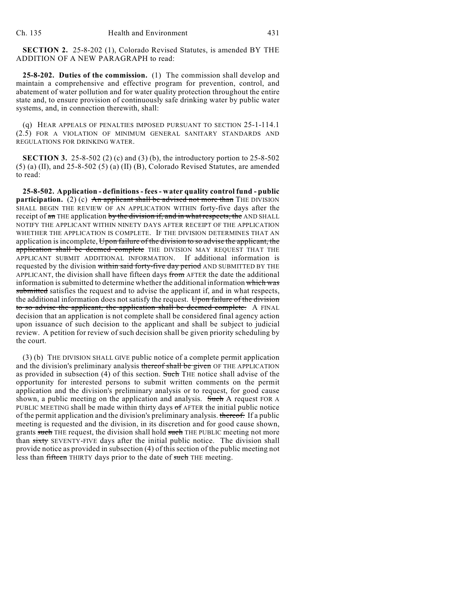**SECTION 2.** 25-8-202 (1), Colorado Revised Statutes, is amended BY THE ADDITION OF A NEW PARAGRAPH to read:

**25-8-202. Duties of the commission.** (1) The commission shall develop and maintain a comprehensive and effective program for prevention, control, and abatement of water pollution and for water quality protection throughout the entire state and, to ensure provision of continuously safe drinking water by public water systems, and, in connection therewith, shall:

(q) HEAR APPEALS OF PENALTIES IMPOSED PURSUANT TO SECTION 25-1-114.1 (2.5) FOR A VIOLATION OF MINIMUM GENERAL SANITARY STANDARDS AND REGULATIONS FOR DRINKING WATER.

**SECTION 3.** 25-8-502 (2) (c) and (3) (b), the introductory portion to 25-8-502 (5) (a) (II), and 25-8-502 (5) (a) (II) (B), Colorado Revised Statutes, are amended to read:

**25-8-502. Application - definitions - fees - water quality control fund - public participation.** (2) (c) An applicant shall be advised not more than THE DIVISION SHALL BEGIN THE REVIEW OF AN APPLICATION WITHIN forty-five days after the receipt of an THE application by the division if, and in what respects, the AND SHALL NOTIFY THE APPLICANT WITHIN NINETY DAYS AFTER RECEIPT OF THE APPLICATION WHETHER THE APPLICATION IS COMPLETE. IF THE DIVISION DETERMINES THAT AN application is incomplete, Upon failure of the division to so advise the applicant, the application shall be deemed complete THE DIVISION MAY REQUEST THAT THE APPLICANT SUBMIT ADDITIONAL INFORMATION. If additional information is requested by the division within said forty-five day period AND SUBMITTED BY THE APPLICANT, the division shall have fifteen days from AFTER the date the additional information is submitted to determine whether the additional information which was submitted satisfies the request and to advise the applicant if, and in what respects, the additional information does not satisfy the request. Upon failure of the division to so advise the applicant, the application shall be deemed complete. A FINAL decision that an application is not complete shall be considered final agency action upon issuance of such decision to the applicant and shall be subject to judicial review. A petition for review of such decision shall be given priority scheduling by the court.

(3) (b) THE DIVISION SHALL GIVE public notice of a complete permit application and the division's preliminary analysis thereof shall be given OF THE APPLICATION as provided in subsection (4) of this section. Such THE notice shall advise of the opportunity for interested persons to submit written comments on the permit application and the division's preliminary analysis or to request, for good cause shown, a public meeting on the application and analysis. Such A request FOR A PUBLIC MEETING shall be made within thirty days of AFTER the initial public notice of the permit application and the division's preliminary analysis. thereof. If a public meeting is requested and the division, in its discretion and for good cause shown, grants such THE request, the division shall hold such THE PUBLIC meeting not more than sixty SEVENTY-FIVE days after the initial public notice. The division shall provide notice as provided in subsection (4) of this section of the public meeting not less than fifteen THIRTY days prior to the date of such THE meeting.